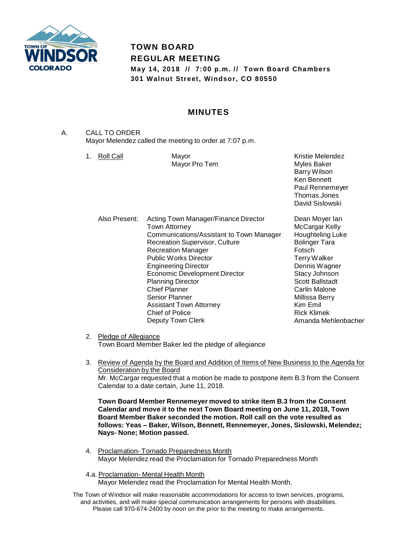

# **TOWN BOARD REGULAR MEETING**

**May 14, 2018 // 7:00 p.m. // Town Board Chambers 301 Walnut Street, Windsor, CO 80550**

# **MINUTES**

- A. CALL TO ORDER Mayor Melendez called the meeting to order at 7:07 p.m.
	- 1. Roll Call Mayor

Mayor Pro Tem

Kristie Melendez Myles Baker Barry Wilson Ken Bennett Paul Rennemeyer Thomas Jones David Sislowski

Also Present: Acting Town Manager/Finance Director Town Attorney Communications/Assistant to Town Manager Recreation Supervisor, Culture Recreation Manager Public Works Director Engineering Director Economic Development Director Planning Director Chief Planner Senior Planner Assistant Town Attorney Chief of Police Deputy Town Clerk

Dean Moyer Ian McCargar Kelly Houghteling Luke Bolinger Tara Fotsch Terry Walker Dennis Wagner Stacy Johnson Scott Ballstadt Carlin Malone Millissa Berry Kim Emil Rick Klimek Amanda Mehlenbacher

- 2. Pledge of Allegiance Town Board Member Baker led the pledge of allegiance
- 3. Review of Agenda by the Board and Addition of Items of New Business to the Agenda for Consideration by the Board Mr. McCargar requested that a motion be made to postpone item B.3 from the Consent Calendar to a date certain, June 11, 2018.

**Town Board Member Rennemeyer moved to strike item B.3 from the Consent Calendar and move it to the next Town Board meeting on June 11, 2018, Town Board Member Baker seconded the motion. Roll call on the vote resulted as follows: Yeas – Baker, Wilson, Bennett, Rennemeyer, Jones, Sislowski, Melendez; Nays- None; Motion passed.**

- 4. Proclamation- Tornado Preparedness Month Mayor Melendez read the Proclamation for Tornado Preparedness Month
- 4.a. Proclamation- Mental Health Month Mayor Melendez read the Proclamation for Mental Health Month.
- The Town of Windsor will make reasonable accommodations for access to town services, programs, and activities, and will make special communication arrangements for persons with disabilities. Please call 970-674-2400 by noon on the prior to the meeting to make arrangements.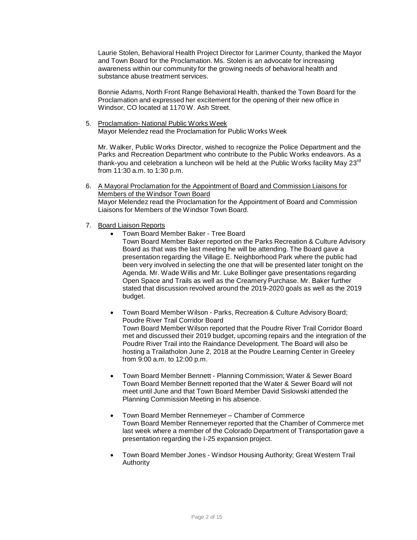Laurie Stolen, Behavioral Health Project Director for Larimer County, thanked the Mayor and Town Board for the Proclamation. Ms. Stolen is an advocate for increasing awareness within our community for the growing needs of behavioral health and substance abuse treatment services.

Bonnie Adams, North Front Range Behavioral Health, thanked the Town Board for the Proclamation and expressed her excitement for the opening of their new office in Windsor, CO located at 1170 W. Ash Street.

5. Proclamation- National Public Works Week Mayor Melendez read the Proclamation for Public Works Week

Mr. Walker, Public Works Director, wished to recognize the Police Department and the Parks and Recreation Department who contribute to the Public Works endeavors. As a thank-you and celebration a luncheon will be held at the Public Works facility May 23<sup>rd</sup> from 11:30 a.m. to 1:30 p.m.

- 6. A Mayoral Proclamation for the Appointment of Board and Commission Liaisons for Members of the Windsor Town Board Mayor Melendez read the Proclamation for the Appointment of Board and Commission Liaisons for Members of the Windsor Town Board.
- 7. Board Liaison Reports
	- Town Board Member Baker Tree Board

Town Board Member Baker reported on the Parks Recreation & Culture Advisory Board as that was the last meeting he will be attending. The Board gave a presentation regarding the Village E. Neighborhood Park where the public had been very involved in selecting the one that will be presented later tonight on the Agenda. Mr. Wade Willis and Mr. Luke Bollinger gave presentations regarding Open Space and Trails as well as the Creamery Purchase. Mr. Baker further stated that discussion revolved around the 2019-2020 goals as well as the 2019 budget.

 Town Board Member Wilson - Parks, Recreation & Culture Advisory Board; Poudre River Trail Corridor Board Town Board Member Wilson reported that the Poudre River Trail Corridor Board met and discussed their 2019 budget, upcoming repairs and the integration of the Poudre River Trail into the Raindance Development. The Board will also be hosting a Trailatholon June 2, 2018 at the Poudre Learning Center in Greeley from 9:00 a.m. to 12:00 p.m.

- Town Board Member Bennett Planning Commission; Water & Sewer Board Town Board Member Bennett reported that the Water & Sewer Board will not meet until June and that Town Board Member David Sislowski attended the Planning Commission Meeting in his absence.
- Town Board Member Rennemeyer Chamber of Commerce Town Board Member Rennemeyer reported that the Chamber of Commerce met last week where a member of the Colorado Department of Transportation gave a presentation regarding the I-25 expansion project.
- Town Board Member Jones Windsor Housing Authority; Great Western Trail Authority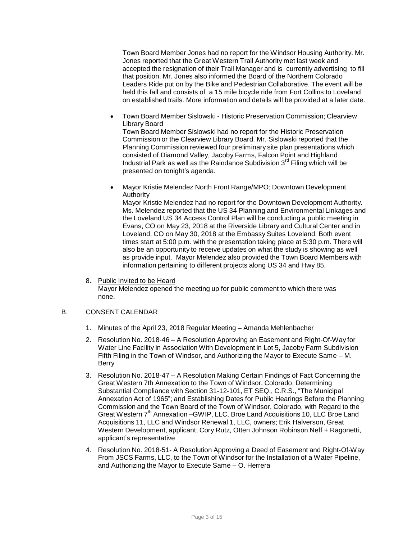Town Board Member Jones had no report for the Windsor Housing Authority. Mr. Jones reported that the Great Western Trail Authority met last week and accepted the resignation of their Trail Manager and is currently advertising to fill that position. Mr. Jones also informed the Board of the Northern Colorado Leaders Ride put on by the Bike and Pedestrian Collaborative. The event will be held this fall and consists of a 15 mile bicycle ride from Fort Collins to Loveland on established trails. More information and details will be provided at a later date.

 Town Board Member Sislowski - Historic Preservation Commission; Clearview Library Board

Town Board Member Sislowski had no report for the Historic Preservation Commission or the Clearview Library Board. Mr. Sislowski reported that the Planning Commission reviewed four preliminary site plan presentations which consisted of Diamond Valley, Jacoby Farms, Falcon Point and Highland Industrial Park as well as the Raindance Subdivision  $3<sup>rd</sup>$  Filing which will be presented on tonight's agenda.

 Mayor Kristie Melendez North Front Range/MPO; Downtown Development Authority

Mayor Kristie Melendez had no report for the Downtown Development Authority. Ms. Melendez reported that the US 34 Planning and Environmental Linkages and the Loveland US 34 Access Control Plan will be conducting a public meeting in Evans, CO on May 23, 2018 at the Riverside Library and Cultural Center and in Loveland, CO on May 30, 2018 at the Embassy Suites Loveland. Both event times start at 5:00 p.m. with the presentation taking place at 5:30 p.m. There will also be an opportunity to receive updates on what the study is showing as well as provide input. Mayor Melendez also provided the Town Board Members with information pertaining to different projects along US 34 and Hwy 85.

8. Public Invited to be Heard Mayor Melendez opened the meeting up for public comment to which there was none.

### B. CONSENT CALENDAR

- 1. Minutes of the April 23, 2018 Regular Meeting Amanda Mehlenbacher
- 2. Resolution No. 2018-46 A Resolution Approving an Easement and Right-Of-Way for Water Line Facility in Association With Development in Lot 5, Jacoby Farm Subdivision Fifth Filing in the Town of Windsor, and Authorizing the Mayor to Execute Same – M. Berry
- 3. Resolution No. 2018-47 A Resolution Making Certain Findings of Fact Concerning the Great Western 7th Annexation to the Town of Windsor, Colorado; Determining Substantial Compliance with Section 31-12-101, ET SEQ., C.R.S., "The Municipal Annexation Act of 1965"; and Establishing Dates for Public Hearings Before the Planning Commission and the Town Board of the Town of Windsor, Colorado, with Regard to the Great Western 7<sup>th</sup> Annexation - GWIP, LLC, Broe Land Acquisitions 10, LLC Broe Land Acquisitions 11, LLC and Windsor Renewal 1, LLC, owners; Erik Halverson, Great Western Development, applicant; Cory Rutz, Otten Johnson Robinson Neff + Ragonetti, applicant's representative
- 4. Resolution No. 2018-51- A Resolution Approving a Deed of Easement and Right-Of-Way From JSCS Farms, LLC, to the Town of Windsor for the Installation of a Water Pipeline, and Authorizing the Mayor to Execute Same – O. Herrera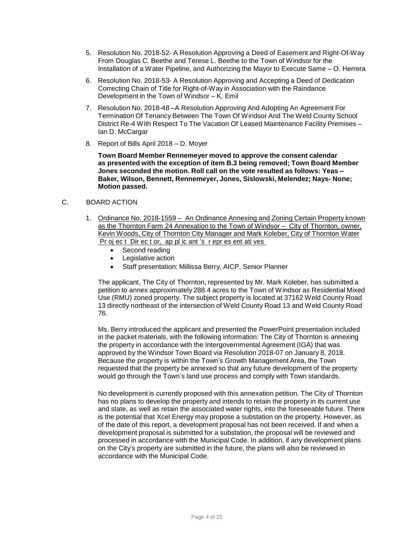- 5. Resolution No. 2018-52- A Resolution Approving a Deed of Easement and Right-Of-Way From Douglas C. Beethe and Terese L. Beethe to the Town of Windsor for the Installation of a Water Pipeline, and Authorizing the Mayor to Execute Same – O. Herrera
- 6. Resolution No. 2018-53- A Resolution Approving and Accepting a Deed of Dedication Correcting Chain of Title for Right-of-Way in Association with the Raindance Development in the Town of Windsor – K. Emil
- 7. Resolution No. 2018-48 –A Resolution Approving And Adopting An Agreement For Termination Of Tenancy Between The Town Of Windsor And The Weld County School District Re-4 With Respect To The Vacation Of Leased Maintenance Facility Premises – Ian D. McCargar
- 8. Report of Bills April 2018 D. Moyer

**Town Board Member Rennemeyer moved to approve the consent calendar as presented with the exception of item B.3 being removed; Town Board Member Jones seconded the motion. Roll call on the vote resulted as follows: Yeas – Baker, Wilson, Bennett, Rennemeyer, Jones, Sislowski, Melendez; Nays- None; Motion passed.**

## C. BOARD ACTION

- 1. Ordinance No. 2018-1559 An Ordinance Annexing and Zoning Certain Property known as the Thornton Farm 24 Annexation to the Town of Windsor – City of Thornton, owner, Kevin Woods, City of Thornton City Manager and Mark Koleber, City of Thornton Water Pr oj ec t Dir ec t or, ap pl ic ant 's r epr es ent ati ves
	- Second reading
	- Legislative action
	- Staff presentation: Millissa Berry, AICP, Senior Planner

The applicant, The City of Thornton, represented by Mr. Mark Koleber, has submitted a petition to annex approximately 288.4 acres to the Town of Windsor as Residential Mixed Use (RMU) zoned property. The subject property is located at 37162 Weld County Road 13 directly northeast of the intersection of Weld County Road 13 and Weld County Road 76.

Ms. Berry introduced the applicant and presented the PowerPoint presentation included in the packet materials, with the following information: The City of Thornton is annexing the property in accordance with the Intergovernmental Agreement (IGA) that was approved by the Windsor Town Board via Resolution 2018-07 on January 8, 2018. Because the property is within the Town's Growth Management Area, the Town requested that the property be annexed so that any future development of the property would go through the Town's land use process and comply with Town standards.

No development is currently proposed with this annexation petition. The City of Thornton has no plans to develop the property and intends to retain the property in its current use and state, as well as retain the associated water rights, into the foreseeable future. There is the potential that Xcel Energy may propose a substation on the property. However, as of the date of this report, a development proposal has not been received. If and when a development proposal is submitted for a substation, the proposal will be reviewed and processed in accordance with the Municipal Code. In addition, if any development plans on the City's property are submitted in the future, the plans will also be reviewed in accordance with the Municipal Code.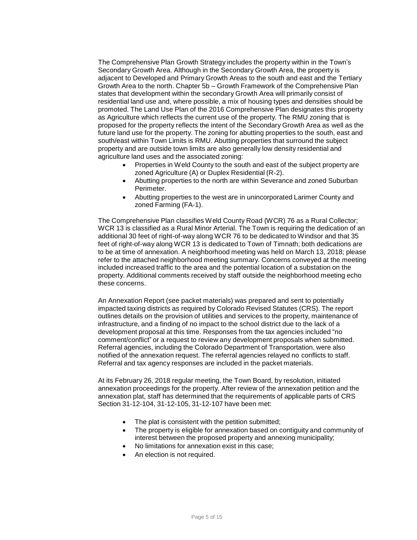The Comprehensive Plan Growth Strategy includes the property within in the Town's Secondary Growth Area. Although in the Secondary Growth Area, the property is adjacent to Developed and Primary Growth Areas to the south and east and the Tertiary Growth Area to the north. Chapter 5b – Growth Framework of the Comprehensive Plan states that development within the secondary Growth Area will primarily consist of residential land use and, where possible, a mix of housing types and densities should be promoted. The Land Use Plan of the 2016 Comprehensive Plan designates this property as Agriculture which reflects the current use of the property. The RMU zoning that is proposed for the property reflects the intent of the Secondary Growth Area as well as the future land use for the property. The zoning for abutting properties to the south, east and south/east within Town Limits is RMU. Abutting properties that surround the subject property and are outside town limits are also generally low density residential and agriculture land uses and the associated zoning:

- Properties in Weld County to the south and east of the subject property are zoned Agriculture (A) or Duplex Residential (R-2).
- Abutting properties to the north are within Severance and zoned Suburban Perimeter.
- Abutting properties to the west are in unincorporated Larimer County and zoned Farming (FA-1).

The Comprehensive Plan classifies Weld County Road (WCR) 76 as a Rural Collector; WCR 13 is classified as a Rural Minor Arterial. The Town is requiring the dedication of an additional 30 feet of right-of-way along WCR 76 to be dedicated to Windsor and that 35 feet of right-of-way along WCR 13 is dedicated to Town of Timnath; both dedications are to be at time of annexation. A neighborhood meeting was held on March 13, 2018; please refer to the attached neighborhood meeting summary. Concerns conveyed at the meeting included increased traffic to the area and the potential location of a substation on the property. Additional comments received by staff outside the neighborhood meeting echo these concerns.

An Annexation Report (see packet materials) was prepared and sent to potentially impacted taxing districts as required by Colorado Revised Statutes (CRS). The report outlines details on the provision of utilities and services to the property, maintenance of infrastructure, and a finding of no impact to the school district due to the lack of a development proposal at this time. Responses from the tax agencies included "no comment/conflict" or a request to review any development proposals when submitted. Referral agencies, including the Colorado Department of Transportation, were also notified of the annexation request. The referral agencies relayed no conflicts to staff. Referral and tax agency responses are included in the packet materials.

At its February 26, 2018 regular meeting, the Town Board, by resolution, initiated annexation proceedings for the property. After review of the annexation petition and the annexation plat, staff has determined that the requirements of applicable parts of CRS Section 31-12-104, 31-12-105, 31-12-107 have been met:

- The plat is consistent with the petition submitted;
- The property is eligible for annexation based on contiguity and community of interest between the proposed property and annexing municipality;
- No limitations for annexation exist in this case;
- An election is not required.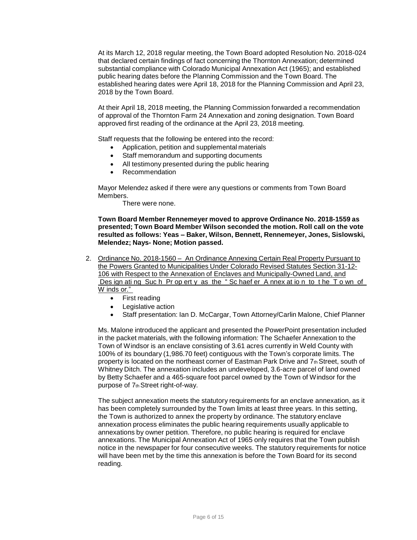At its March 12, 2018 regular meeting, the Town Board adopted Resolution No. 2018-024 that declared certain findings of fact concerning the Thornton Annexation; determined substantial compliance with Colorado Municipal Annexation Act (1965); and established public hearing dates before the Planning Commission and the Town Board. The established hearing dates were April 18, 2018 for the Planning Commission and April 23, 2018 by the Town Board.

At their April 18, 2018 meeting, the Planning Commission forwarded a recommendation of approval of the Thornton Farm 24 Annexation and zoning designation. Town Board approved first reading of the ordinance at the April 23, 2018 meeting.

Staff requests that the following be entered into the record:

- Application, petition and supplemental materials
- Staff memorandum and supporting documents
- All testimony presented during the public hearing
- Recommendation

Mayor Melendez asked if there were any questions or comments from Town Board Members.

There were none.

**Town Board Member Rennemeyer moved to approve Ordinance No. 2018-1559 as presented; Town Board Member Wilson seconded the motion. Roll call on the vote resulted as follows: Yeas – Baker, Wilson, Bennett, Rennemeyer, Jones, Sislowski, Melendez; Nays- None; Motion passed.**

- 2. Ordinance No. 2018-1560 An Ordinance Annexing Certain Real Property Pursuant to the Powers Granted to Municipalities Under Colorado Revised Statutes Section 31-12- 106 with Respect to the Annexation of Enclaves and Municipally-Owned Land, and Des ign ati ng Suc h Pr op ert y as the " Sc haef er A nnex at io n to t he T o wn of W inds or."
	- First reading
	- Legislative action
	- Staff presentation: Ian D. McCargar, Town Attorney/Carlin Malone, Chief Planner

Ms. Malone introduced the applicant and presented the PowerPoint presentation included in the packet materials, with the following information: The Schaefer Annexation to the Town of Windsor is an enclave consisting of 3.61 acres currently in Weld County with 100% of its boundary (1,986.70 feet) contiguous with the Town's corporate limits. The property is located on the northeast corner of Eastman Park Drive and 7th Street, south of Whitney Ditch. The annexation includes an undeveloped, 3.6-acre parcel of land owned by Betty Schaefer and a 465-square foot parcel owned by the Town of Windsor for the purpose of  $7<sub>th</sub>$ Street right-of-way.

The subject annexation meets the statutory requirements for an enclave annexation, as it has been completely surrounded by the Town limits at least three years. In this setting, the Town is authorized to annex the property by ordinance. The statutory enclave annexation process eliminates the public hearing requirements usually applicable to annexations by owner petition. Therefore, no public hearing is required for enclave annexations. The Municipal Annexation Act of 1965 only requires that the Town publish notice in the newspaper for four consecutive weeks. The statutory requirements for notice will have been met by the time this annexation is before the Town Board for its second reading.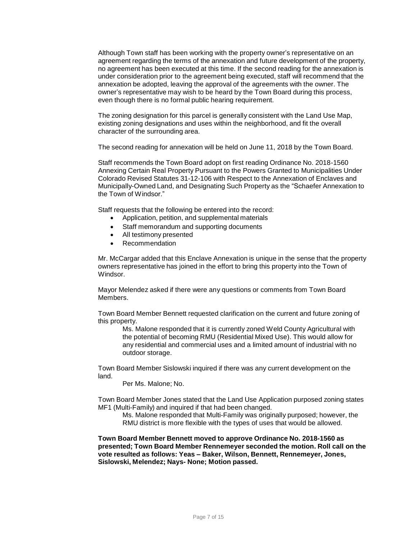Although Town staff has been working with the property owner's representative on an agreement regarding the terms of the annexation and future development of the property, no agreement has been executed at this time. If the second reading for the annexation is under consideration prior to the agreement being executed, staff will recommend that the annexation be adopted, leaving the approval of the agreements with the owner. The owner's representative may wish to be heard by the Town Board during this process, even though there is no formal public hearing requirement.

The zoning designation for this parcel is generally consistent with the Land Use Map, existing zoning designations and uses within the neighborhood, and fit the overall character of the surrounding area.

The second reading for annexation will be held on June 11, 2018 by the Town Board.

Staff recommends the Town Board adopt on first reading Ordinance No. 2018-1560 Annexing Certain Real Property Pursuant to the Powers Granted to Municipalities Under Colorado Revised Statutes 31-12-106 with Respect to the Annexation of Enclaves and Municipally-Owned Land, and Designating Such Property as the "Schaefer Annexation to the Town of Windsor."

Staff requests that the following be entered into the record:

- Application, petition, and supplemental materials
- Staff memorandum and supporting documents
- All testimony presented
- Recommendation

Mr. McCargar added that this Enclave Annexation is unique in the sense that the property owners representative has joined in the effort to bring this property into the Town of Windsor.

Mayor Melendez asked if there were any questions or comments from Town Board Members.

Town Board Member Bennett requested clarification on the current and future zoning of this property.

Ms. Malone responded that it is currently zoned Weld County Agricultural with the potential of becoming RMU (Residential Mixed Use). This would allow for any residential and commercial uses and a limited amount of industrial with no outdoor storage.

Town Board Member Sislowski inquired if there was any current development on the land.

Per Ms. Malone; No.

Town Board Member Jones stated that the Land Use Application purposed zoning states MF1 (Multi-Family) and inquired if that had been changed.

Ms. Malone responded that Multi-Family was originally purposed; however, the RMU district is more flexible with the types of uses that would be allowed.

**Town Board Member Bennett moved to approve Ordinance No. 2018-1560 as presented; Town Board Member Rennemeyer seconded the motion. Roll call on the vote resulted as follows: Yeas – Baker, Wilson, Bennett, Rennemeyer, Jones, Sislowski, Melendez; Nays- None; Motion passed.**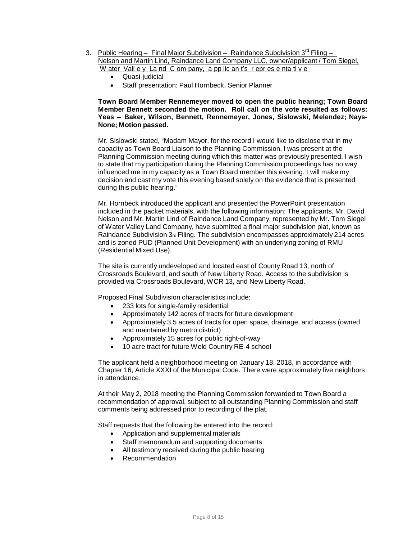- 3. Public Hearing Final Major Subdivision Raindance Subdivision 3<sup>rd</sup> Filing Nelson and Martin Lind, Raindance Land Company LLC, owner/applicant / Tom Siegel, W ater Vall e y La nd C om pany, a pp lic an t's r epr es e nta ti v e
	- Quasi-judicial
	- Staff presentation: Paul Hornbeck, Senior Planner

### **Town Board Member Rennemeyer moved to open the public hearing; Town Board Member Bennett seconded the motion. Roll call on the vote resulted as follows: Yeas – Baker, Wilson, Bennett, Rennemeyer, Jones, Sislowski, Melendez; Nays-None; Motion passed.**

Mr. Sislowski stated, "Madam Mayor, for the record I would like to disclose that in my capacity as Town Board Liaison to the Planning Commission, I was present at the Planning Commission meeting during which this matter was previously presented. I wish to state that my participation during the Planning Commission proceedings has no way influenced me in my capacity as a Town Board member this evening. I will make my decision and cast my vote this evening based solely on the evidence that is presented during this public hearing."

Mr. Hornbeck introduced the applicant and presented the PowerPoint presentation included in the packet materials, with the following information: The applicants, Mr. David Nelson and Mr. Martin Lind of Raindance Land Company, represented by Mr. Tom Siegel of Water Valley Land Company, have submitted a final major subdivision plat, known as Raindance Subdivision  $3<sub>rd</sub>$  Filing. The subdivision encompasses approximately 214 acres and is zoned PUD (Planned Unit Development) with an underlying zoning of RMU (Residential Mixed Use).

The site is currently undeveloped and located east of County Road 13, north of Crossroads Boulevard, and south of New Liberty Road. Access to the subdivision is provided via Crossroads Boulevard, WCR 13, and New Liberty Road.

Proposed Final Subdivision characteristics include:

- 233 lots for single-family residential
- Approximately 142 acres of tracts for future development
- Approximately 3.5 acres of tracts for open space, drainage, and access (owned and maintained by metro district)
- Approximately 15 acres for public right-of-way
- 10 acre tract for future Weld Country RE-4 school

The applicant held a neighborhood meeting on January 18, 2018, in accordance with Chapter 16, Article XXXI of the Municipal Code. There were approximately five neighbors in attendance.

At their May 2, 2018 meeting the Planning Commission forwarded to Town Board a recommendation of approval, subject to all outstanding Planning Commission and staff comments being addressed prior to recording of the plat.

Staff requests that the following be entered into the record:

- Application and supplemental materials
- Staff memorandum and supporting documents
- All testimony received during the public hearing
- Recommendation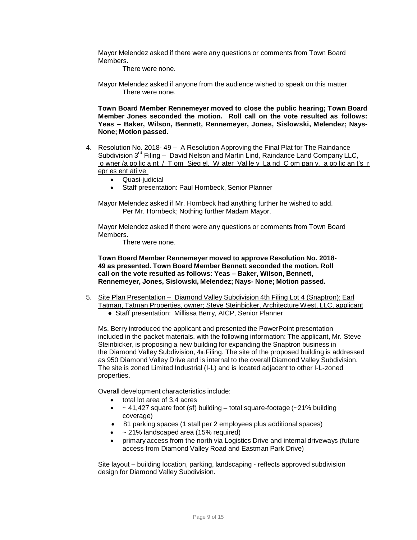Mayor Melendez asked if there were any questions or comments from Town Board **Members** 

There were none.

Mayor Melendez asked if anyone from the audience wished to speak on this matter. There were none.

**Town Board Member Rennemeyer moved to close the public hearing; Town Board Member Jones seconded the motion. Roll call on the vote resulted as follows: Yeas – Baker, Wilson, Bennett, Rennemeyer, Jones, Sislowski, Melendez; Nays-None; Motion passed.**

- 4. Resolution No. 2018- 49 A Resolution Approving the Final Plat for The Raindance Subdivision 3<sup>rd</sup> Filing - David Nelson and Martin Lind, Raindance Land Company LLC, o wner /a pp lic a nt / T om Sieg el, W ater Val le y La nd C om pan y, a pp lic an t's r epr es ent ati ve
	- Quasi-judicial
	- Staff presentation: Paul Hornbeck, Senior Planner

Mayor Melendez asked if Mr. Hornbeck had anything further he wished to add. Per Mr. Hornbeck; Nothing further Madam Mayor.

Mayor Melendez asked if there were any questions or comments from Town Board Members.

There were none.

**Town Board Member Rennemeyer moved to approve Resolution No. 2018- 49 as presented. Town Board Member Bennett seconded the motion. Roll call on the vote resulted as follows: Yeas – Baker, Wilson, Bennett, Rennemeyer, Jones, Sislowski, Melendez; Nays- None; Motion passed.**

- 5. Site Plan Presentation Diamond Valley Subdivision 4th Filing Lot 4 (Snaptron); Earl Tatman, Tatman Properties, owner; Steve Steinbicker, Architecture West, LLC, applicant
	- Staff presentation: Millissa Berry, AICP, Senior Planner

Ms. Berry introduced the applicant and presented the PowerPoint presentation included in the packet materials, with the following information: The applicant, Mr. Steve Steinbicker, is proposing a new building for expanding the Snaptron business in the Diamond Valley Subdivision,  $4<sub>th</sub>$  Filing. The site of the proposed building is addressed as 950 Diamond Valley Drive and is internal to the overall Diamond Valley Subdivision. The site is zoned Limited Industrial (I-L) and is located adjacent to other I-L-zoned properties.

Overall development characteristics include:

- total lot area of 3.4 acres
- $\bullet$  ~ 41,427 square foot (sf) building total square-footage (~21% building coverage)
- 81 parking spaces (1 stall per 2 employees plus additional spaces)
- ~ 21% landscaped area (15% required)
- primary access from the north via Logistics Drive and internal driveways (future access from Diamond Valley Road and Eastman Park Drive)

Site layout – building location, parking, landscaping - reflects approved subdivision design for Diamond Valley Subdivision.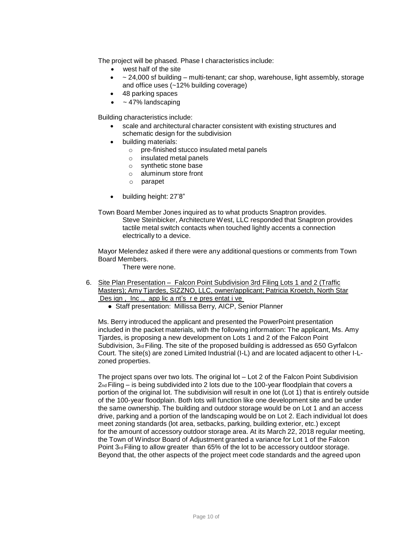The project will be phased. Phase I characteristics include:

- west half of the site
- $\sim$  24,000 sf building multi-tenant; car shop, warehouse, light assembly, storage and office uses (~12% building coverage)
- 48 parking spaces
- ~ 47% landscaping

Building characteristics include:

- scale and architectural character consistent with existing structures and schematic design for the subdivision
- building materials:
	- o pre-finished stucco insulated metal panels
	- o insulated metal panels
	- o synthetic stone base
	- o aluminum store front
	- o parapet
- building height: 27'8"
- Town Board Member Jones inquired as to what products Snaptron provides. Steve Steinbicker, Architecture West, LLC responded that Snaptron provides tactile metal switch contacts when touched lightly accents a connection electrically to a device.

Mayor Melendez asked if there were any additional questions or comments from Town Board Members.

There were none.

- 6. Site Plan Presentation Falcon Point Subdivision 3rd Filing Lots 1 and 2 (Traffic Masters); Amy Tjardes, SIZZNO, LLC, owner/applicant; Patricia Kroetch, North Star Des ign, Inc., app lic a nt's re pres entat i ve
	- Staff presentation: Millissa Berry, AICP, Senior Planner

Ms. Berry introduced the applicant and presented the PowerPoint presentation included in the packet materials, with the following information: The applicant, Ms. Amy Tjardes, is proposing a new development on Lots 1 and 2 of the Falcon Point Subdivision, 3rd Filing. The site of the proposed building is addressed as 650 Gyrfalcon Court. The site(s) are zoned Limited Industrial (I-L) and are located adjacent to other I-Lzoned properties.

The project spans over two lots. The original lot – Lot 2 of the Falcon Point Subdivision 2nd Filing – is being subdivided into 2 lots due to the 100-year floodplain that covers a portion of the original lot. The subdivision will result in one lot (Lot 1) that is entirely outside of the 100-year floodplain. Both lots will function like one development site and be under the same ownership. The building and outdoor storage would be on Lot 1 and an access drive, parking and a portion of the landscaping would be on Lot 2. Each individual lot does meet zoning standards (lot area, setbacks, parking, building exterior, etc.) except for the amount of accessory outdoor storage area. At its March 22, 2018 regular meeting, the Town of Windsor Board of Adjustment granted a variance for Lot 1 of the Falcon Point 3rd Filing to allow greater than 65% of the lot to be accessory outdoor storage. Beyond that, the other aspects of the project meet code standards and the agreed upon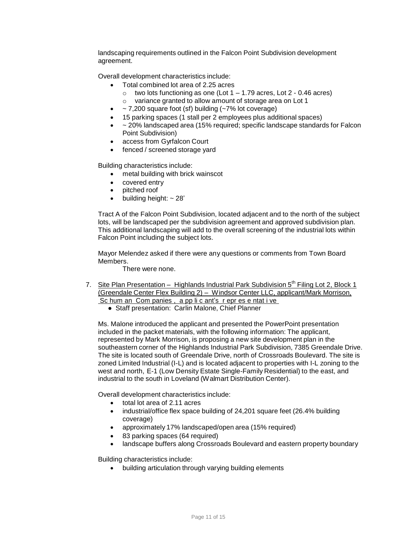landscaping requirements outlined in the Falcon Point Subdivision development agreement.

Overall development characteristics include:

- Total combined lot area of 2.25 acres
	- $\circ$  two lots functioning as one (Lot 1 1.79 acres, Lot 2 0.46 acres)
	- o variance granted to allow amount of storage area on Lot 1
- ~ 7,200 square foot (sf) building (~7% lot coverage)
- 15 parking spaces (1 stall per 2 employees plus additional spaces)
- ~ 20% landscaped area (15% required; specific landscape standards for Falcon Point Subdivision)
- access from Gyrfalcon Court
- fenced / screened storage yard

Building characteristics include:

- metal building with brick wainscot
- covered entry
- pitched roof
- $\bullet$  building height:  $\sim$  28'

Tract A of the Falcon Point Subdivision, located adjacent and to the north of the subject lots, will be landscaped per the subdivision agreement and approved subdivision plan. This additional landscaping will add to the overall screening of the industrial lots within Falcon Point including the subject lots.

Mayor Melendez asked if there were any questions or comments from Town Board Members.

There were none.

- 7. Site Plan Presentation Highlands Industrial Park Subdivision 5<sup>th</sup> Filing Lot 2, Block 1 (Greendale Center Flex Building 2) – Windsor Center LLC, applicant/Mark Morrison, Sc hum an Com panies, a pp li c ant's r epr es e ntat i ve
	- Staff presentation: Carlin Malone, Chief Planner

Ms. Malone introduced the applicant and presented the PowerPoint presentation included in the packet materials, with the following information: The applicant, represented by Mark Morrison, is proposing a new site development plan in the southeastern corner of the Highlands Industrial Park Subdivision, 7385 Greendale Drive. The site is located south of Greendale Drive, north of Crossroads Boulevard. The site is zoned Limited Industrial (I-L) and is located adjacent to properties with I-L zoning to the west and north, E-1 (Low Density Estate Single-Family Residential) to the east, and industrial to the south in Loveland (Walmart Distribution Center).

Overall development characteristics include:

- total lot area of 2.11 acres
- industrial/office flex space building of 24,201 square feet (26.4% building coverage)
- approximately 17% landscaped/open area (15% required)
- 83 parking spaces (64 required)
- landscape buffers along Crossroads Boulevard and eastern property boundary

Building characteristics include:

building articulation through varying building elements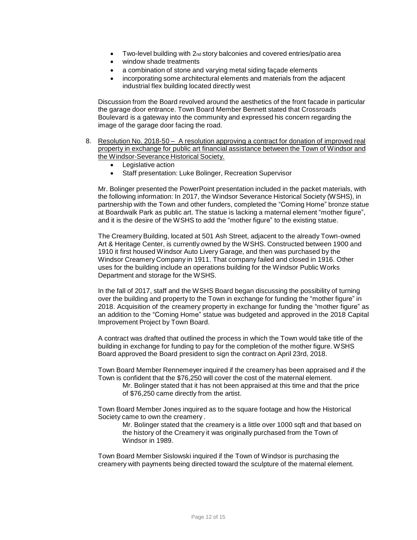- Two-level building with 2nd story balconies and covered entries/patio area
- window shade treatments
- a combination of stone and varying metal siding façade elements
- incorporating some architectural elements and materials from the adjacent industrial flex building located directly west

Discussion from the Board revolved around the aesthetics of the front facade in particular the garage door entrance. Town Board Member Bennett stated that Crossroads Boulevard is a gateway into the community and expressed his concern regarding the image of the garage door facing the road.

- 8. Resolution No. 2018-50 A resolution approving a contract for donation of improved real property in exchange for public art financial assistance between the Town of Windsor and the Windsor-Severance Historical Society.
	- Legislative action
	- Staff presentation: Luke Bolinger, Recreation Supervisor

Mr. Bolinger presented the PowerPoint presentation included in the packet materials, with the following information: In 2017, the Windsor Severance Historical Society (WSHS), in partnership with the Town and other funders, completed the "Coming Home" bronze statue at Boardwalk Park as public art. The statue is lacking a maternal element "mother figure", and it is the desire of the WSHS to add the "mother figure" to the existing statue.

The Creamery Building, located at 501 Ash Street, adjacent to the already Town-owned Art & Heritage Center, is currently owned by the WSHS. Constructed between 1900 and 1910 it first housed Windsor Auto Livery Garage, and then was purchased by the Windsor Creamery Company in 1911. That company failed and closed in 1916. Other uses for the building include an operations building for the Windsor Public Works Department and storage for the WSHS.

In the fall of 2017, staff and the WSHS Board began discussing the possibility of turning over the building and property to the Town in exchange for funding the "mother figure" in 2018. Acquisition of the creamery property in exchange for funding the "mother figure" as an addition to the "Coming Home" statue was budgeted and approved in the 2018 Capital Improvement Project by Town Board.

A contract was drafted that outlined the process in which the Town would take title of the building in exchange for funding to pay for the completion of the mother figure. WSHS Board approved the Board president to sign the contract on April 23rd, 2018.

Town Board Member Rennemeyer inquired if the creamery has been appraised and if the Town is confident that the \$76,250 will cover the cost of the maternal element.

Mr. Bolinger stated that it has not been appraised at this time and that the price of \$76,250 came directly from the artist.

Town Board Member Jones inquired as to the square footage and how the Historical Society came to own the creamery .

Mr. Bolinger stated that the creamery is a little over 1000 sqft and that based on the history of the Creamery it was originally purchased from the Town of Windsor in 1989.

Town Board Member Sislowski inquired if the Town of Windsor is purchasing the creamery with payments being directed toward the sculpture of the maternal element.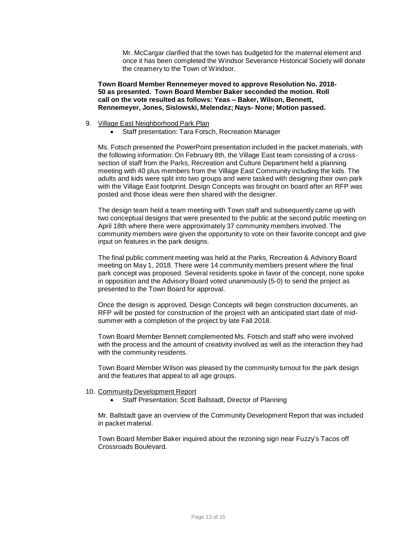Mr. McCargar clarified that the town has budgeted for the maternal element and once it has been completed the Windsor Severance Historical Society will donate the creamery to the Town of Windsor.

**Town Board Member Rennemeyer moved to approve Resolution No. 2018- 50 as presented. Town Board Member Baker seconded the motion. Roll call on the vote resulted as follows: Yeas – Baker, Wilson, Bennett, Rennemeyer, Jones, Sislowski, Melendez; Nays- None; Motion passed.**

- 9. Village East Neighborhood Park Plan
	- Staff presentation: Tara Fotsch, Recreation Manager

Ms. Fotsch presented the PowerPoint presentation included in the packet materials, with the following information: On February 8th, the Village East team consisting of a crosssection of staff from the Parks, Recreation and Culture Department held a planning meeting with 40 plus members from the Village East Community including the kids. The adults and kids were split into two groups and were tasked with designing their own park with the Village East footprint. Design Concepts was brought on board after an RFP was posted and those ideas were then shared with the designer.

The design team held a team meeting with Town staff and subsequently came up with two conceptual designs that were presented to the public at the second public meeting on April 18th where there were approximately 37 community members involved. The community members were given the opportunity to vote on their favorite concept and give input on features in the park designs.

The final public comment meeting was held at the Parks, Recreation & Advisory Board meeting on May 1, 2018. There were 14 community members present where the final park concept was proposed. Several residents spoke in favor of the concept, none spoke in opposition and the Advisory Board voted unanimously (5-0) to send the project as presented to the Town Board for approval.

Once the design is approved, Design Concepts will begin construction documents, an RFP will be posted for construction of the project with an anticipated start date of midsummer with a completion of the project by late Fall 2018.

Town Board Member Bennett complemented Ms. Fotsch and staff who were involved with the process and the amount of creativity involved as well as the interaction they had with the community residents.

Town Board Member Wilson was pleased by the community turnout for the park design and the features that appeal to all age groups.

- 10. Community Development Report
	- Staff Presentation: Scott Ballstadt, Director of Planning

Mr. Ballstadt gave an overview of the Community Development Report that was included in packet material.

Town Board Member Baker inquired about the rezoning sign near Fuzzy's Tacos off Crossroads Boulevard.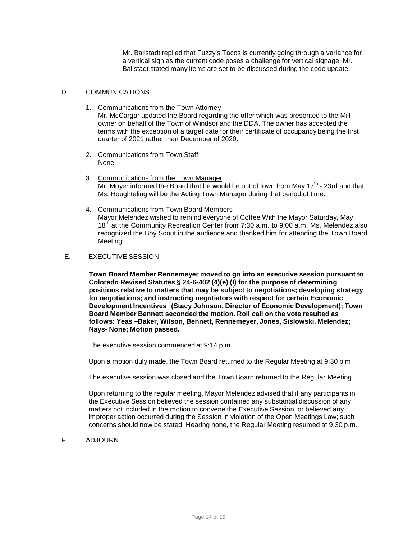Mr. Ballstadt replied that Fuzzy's Tacos is currently going through a variance for a vertical sign as the current code poses a challenge for vertical signage. Mr. Ballstadt stated many items are set to be discussed during the code update.

### D. COMMUNICATIONS

- 1. Communications from the Town Attorney Mr. McCargar updated the Board regarding the offer which was presented to the Mill owner on behalf of the Town of Windsor and the DDA. The owner has accepted the terms with the exception of a target date for their certificate of occupancy being the first quarter of 2021 rather than December of 2020.
- 2. Communications from Town Staff None
- 3. Communications from the Town Manager Mr. Moyer informed the Board that he would be out of town from May  $17<sup>th</sup>$  - 23rd and that Ms. Houghteling will be the Acting Town Manager during that period of time.
- 4. Communications from Town Board Members Mayor Melendez wished to remind everyone of Coffee With the Mayor Saturday, May 18<sup>th</sup> at the Community Recreation Center from 7:30 a.m. to 9:00 a.m. Ms. Melendez also recognized the Boy Scout in the audience and thanked him for attending the Town Board Meeting.

# E. EXECUTIVE SESSION

**Town Board Member Rennemeyer moved to go into an executive session pursuant to Colorado Revised Statutes § 24-6-402 (4)(e) (I) for the purpose of determining positions relative to matters that may be subject to negotiations; developing strategy for negotiations; and instructing negotiators with respect for certain Economic Development Incentives (Stacy Johnson, Director of Economic Development); Town Board Member Bennett seconded the motion. Roll call on the vote resulted as follows: Yeas –Baker, Wilson, Bennett, Rennemeyer, Jones, Sislowski, Melendez; Nays- None; Motion passed.**

The executive session commenced at 9:14 p.m.

Upon a motion duly made, the Town Board returned to the Regular Meeting at 9:30 p.m.

The executive session was closed and the Town Board returned to the Regular Meeting.

Upon returning to the regular meeting, Mayor Melendez advised that if any participants in the Executive Session believed the session contained any substantial discussion of any matters not included in the motion to convene the Executive Session, or believed any improper action occurred during the Session in violation of the Open Meetings Law; such concerns should now be stated. Hearing none, the Regular Meeting resumed at 9:30 p.m.

F. ADJOURN